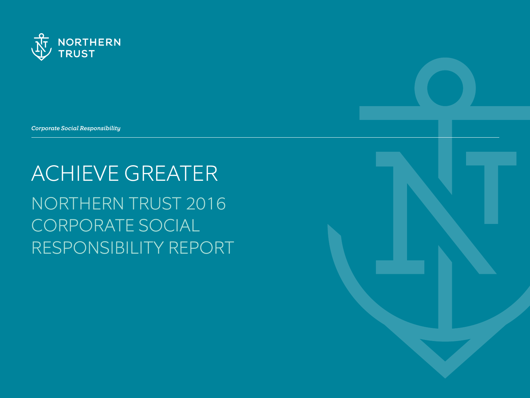

*Corporate Social Responsibility*

ACHIEVE GREATER NORTHERN TRUST 2016 CORPORATE SOCIAL RESPONSIBILITY REPORT

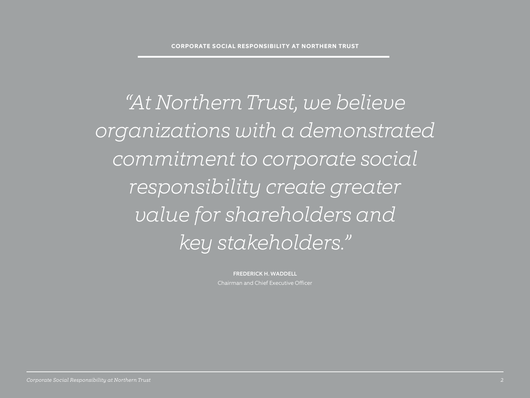*"At Northern Trust, we believe organizations with a demonstrated commitment to corporate social responsibility create greater value for shareholders and key stakeholders."*

> FREDERICK H. WADDELL Chairman and Chief Executive Officer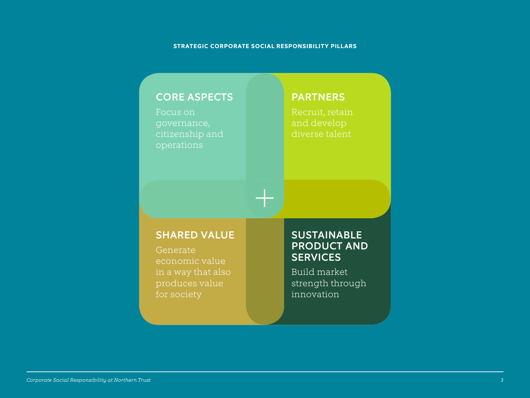#### **STRATEGIC CORPORATE SOCIAL RESPONSIBILITY PILLARS**

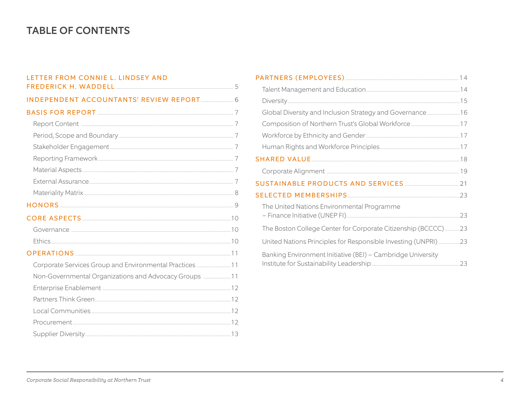# **TABLE OF CONTENTS**

| LETTER FROM CONNIE L. LINDSEY AND                       |  |
|---------------------------------------------------------|--|
|                                                         |  |
|                                                         |  |
|                                                         |  |
|                                                         |  |
|                                                         |  |
|                                                         |  |
|                                                         |  |
|                                                         |  |
|                                                         |  |
|                                                         |  |
|                                                         |  |
|                                                         |  |
|                                                         |  |
|                                                         |  |
|                                                         |  |
| Corporate Services Group and Environmental Practices 11 |  |
| Non-Governmental Organizations and Advocacy Groups 11   |  |
|                                                         |  |
|                                                         |  |
|                                                         |  |
|                                                         |  |
|                                                         |  |

| Global Diversity and Inclusion Strategy and Governance  16     |  |
|----------------------------------------------------------------|--|
|                                                                |  |
|                                                                |  |
|                                                                |  |
|                                                                |  |
|                                                                |  |
|                                                                |  |
|                                                                |  |
| The United Nations Environmental Programme                     |  |
| The Boston College Center for Corporate Citizenship (BCCCC)23  |  |
| United Nations Principles for Responsible Investing (UNPRI) 23 |  |
| Banking Environment Initiative (BEI) - Cambridge University    |  |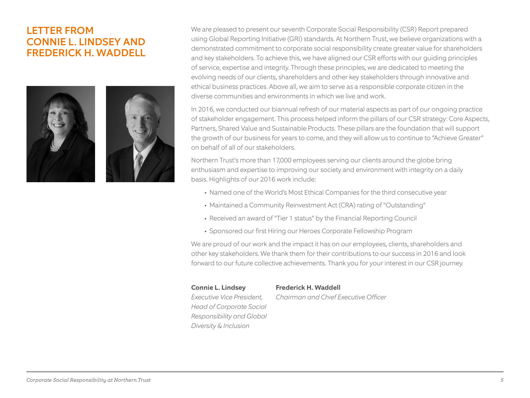# LETTER FROM CONNIE L. LINDSEY AND FREDERICK H. WADDELL





We are pleased to present our seventh Corporate Social Responsibility (CSR) Report prepared using Global Reporting Initiative (GRI) standards. At Northern Trust, we believe organizations with a demonstrated commitment to corporate social responsibility create greater value for shareholders and key stakeholders. To achieve this, we have aligned our CSR efforts with our guiding principles of service, expertise and integrity. Through these principles, we are dedicated to meeting the evolving needs of our clients, shareholders and other key stakeholders through innovative and ethical business practices. Above all, we aim to serve as a responsible corporate citizen in the diverse communities and environments in which we live and work.

In 2016, we conducted our biannual refresh of our material aspects as part of our ongoing practice of stakeholder engagement. This process helped inform the pillars of our CSR strategy: Core Aspects, Partners, Shared Value and Sustainable Products. These pillars are the foundation that will support the growth of our business for years to come, and they will allow us to continue to "Achieve Greater" on behalf of all of our stakeholders.

Northern Trust's more than 17,000 employees serving our clients around the globe bring enthusiasm and expertise to improving our society and environment with integrity on a daily basis. Highlights of our 2016 work include:

- Named one of the World's Most Ethical Companies for the third consecutive year
- Maintained a Community Reinvestment Act (CRA) rating of "Outstanding"
- Received an award of "Tier 1 status" by the Financial Reporting Council
- Sponsored our first Hiring our Heroes Corporate Fellowship Program

We are proud of our work and the impact it has on our employees, clients, shareholders and other key stakeholders. We thank them for their contributions to our success in 2016 and look forward to our future collective achievements. Thank you for your interest in our CSR journey.

#### **Connie L. Lindsey Frederick H. Waddell**

*Executive Vice President, Chairman and Chief Executive Officer* 

*Head of Corporate Social Responsibility and Global Diversity & Inclusion*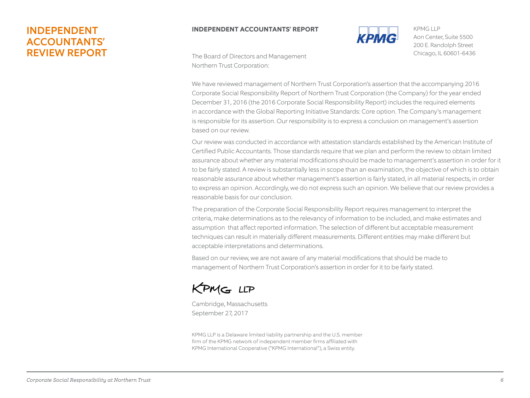# INDEPENDENT ACCOUNTANTS' REVIEW REPORT

# **INDEPENDENT ACCOUNTANTS' REPORT**



200 E. Randolph Street Chicago, IL 60601-6436 KPMG LLP Aon Center, Suite 5500

The Board of Directors and Management Northern Trust Corporation:

is responsible for its assertion. Our responsibility is to express a conclusion on management's assertion december of Northern Trust Corporation (the Company) for the year ended December 31, 2015 (the Vertical December 31, 2015 (the Vertical December 31, 2015 (the Vertical December 31, 2015 (the Vertical December 31, 2015 (the Dased OIT OUT Tevrew. We have reviewed management of Northern Trust Corporation's assertion that the accompanying 2016 Corporate Social Responsibility Report of Northern Trust Corporation (the Company) for the year ended December 31, 2016 (the 2016 Corporate Social Responsibility Report) includes the required elements in accordance with the Global Reporting Initiative Standards: Core option. The Company's management

Our review was conducted in accordance with attestation standards established by the American Institute of Certified Public Accountants. Those standards require that we plan and perform the review to obtain limited assurance about whether any material modifications should be made to management's assertion in order for it to be fairly stated. A review is substantially less in scope than an examination, the objective of which is to obtain reasonable assurance about whether management's assertion is fairly stated, in all material respects, in order sustainability represents the material temperature its option. to be fairly stated. A review is substantially less in scope than an examination, the objective of which is to obtain to express an opinion. Accordingly, we do not express such an opinion. We believe that our review provides a reasonable basis for our conclusion.

The preparation of the Corporate Social Responsibility Report requires management to interpret the criteria, make determinations as to the relevancy of information to be included, and make estimates and assumption that affect reported information. The selection of different but acceptable measurement occurred or the Corporation of the Corporation Corporation Corporation Corporation in the criteria, when the cri<br>The changings can result in materially different measurements. Different entities may make different but make determinations as to the relevancy of information to be included, and make estimates and assumptions The preparation of the Corporate Social Responsibility Report requires management to interpret the techniques can result in materially different measurements. Different entities may make different but acceptable interpretations and determinations.

Based on our review, we are not aware of any material modifications that should be made to interpretations and determinations. The Corporate Social Responsibility Report in  $\mathcal{L}$ management of Northern Trust Corporation's assertion in order for it to be fairly stated.



Cambridge, Massachusetts September 27, 2017

KPMG LLP is a Delaware limited liability partnership and the U.S. member firm of the KPMG network of independent member firms affiliated with KPMG International Cooperative ("KPMG International"), a Swiss entity.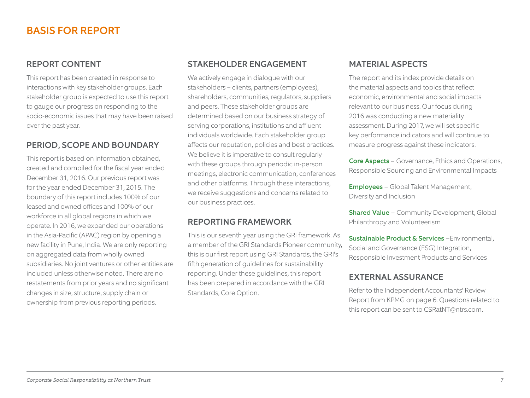# BASIS FOR REPORT

#### REPORT CONTENT

This report has been created in response to interactions with key stakeholder groups. Each stakeholder group is expected to use this report to gauge our progress on responding to the socio-economic issues that may have been raised over the past year.

#### PERIOD, SCOPE AND BOUNDARY

This report is based on information obtained, created and compiled for the fiscal year ended December 31, 2016. Our previous report was for the year ended December 31, 2015. The boundary of this report includes 100% of our leased and owned offices and 100% of our workforce in all global regions in which we operate. In 2016, we expanded our operations in the Asia-Pacific (APAC) region by opening a new facility in Pune, India. We are only reporting on aggregated data from wholly owned subsidiaries. No joint ventures or other entities are included unless otherwise noted. There are no restatements from prior years and no significant changes in size, structure, supply chain or ownership from previous reporting periods.

#### STAKEHOLDER ENGAGEMENT

We actively engage in dialogue with our stakeholders – clients, partners (employees), shareholders, communities, regulators, suppliers and peers. These stakeholder groups are determined based on our business strategy of serving corporations, institutions and affluent individuals worldwide. Each stakeholder group affects our reputation, policies and best practices. We believe it is imperative to consult regularly with these groups through periodic in-person meetings, electronic communication, conferences and other platforms. Through these interactions, we receive suggestions and concerns related to our business practices.

#### REPORTING FRAMEWORK

This is our seventh year using the GRI framework. As a member of the GRI Standards Pioneer community, this is our first report using GRI Standards, the GRI's fifth generation of guidelines for sustainability reporting. Under these guidelines, this report has been prepared in accordance with the GRI Standards, Core Option.

#### MATERIAL ASPECTS

The report and its index provide details on the material aspects and topics that reflect economic, environmental and social impacts relevant to our business. Our focus during 2016 was conducting a new materiality assessment. During 2017, we will set specific key performance indicators and will continue to measure progress against these indicators.

Core Aspects - Governance, Ethics and Operations, Responsible Sourcing and Environmental Impacts

Employees - Global Talent Management, Diversity and Inclusion

Shared Value - Community Development, Global Philanthropy and Volunteerism

Sustainable Product & Services - Environmental, Social and Governance (ESG) Integration, Responsible Investment Products and Services

#### EXTERNAL ASSURANCE

Refer to the Independent Accountants' Review Report from KPMG on page 6. Questions related to this report can be sent to CSRatNT@ntrs.com.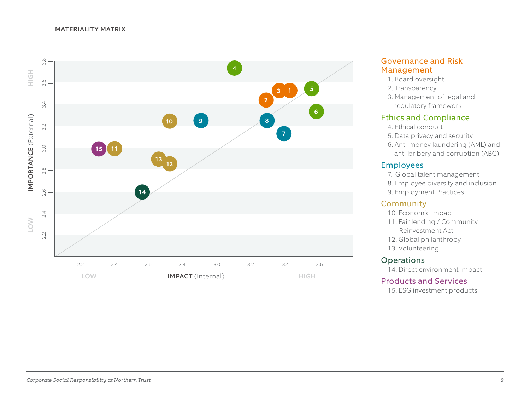#### MATERIALITY MATRIX



#### Governance and Risk Management

- 1. Board oversight
- 2. Transparency
- 3. Management of legal and regulatory framework

## Ethics and Compliance

- 4. Ethical conduct
- 5. Data privacy and security
- 6. Anti-money laundering (AML) and anti-bribery and corruption (ABC)

#### Employees

- 7. Global talent management
- 8. Employee diversity and inclusion
- 9. Employment Practices

#### Community

- 10. Economic impact
- 11. Fair lending / Community Reinvestment Act
- 12. Global philanthropy
- 13. Volunteering

#### Operations

14. Direct environment impact

#### Products and Services

15. ESG investment products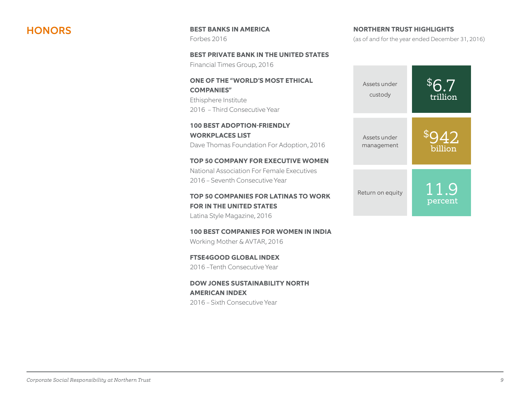**HONORS** BEST BANKS IN AMERICA Forbes 2016

> **BEST PRIVATE BANK IN THE UNITED STATES** Financial Times Group, 2016

**ONE OF THE "WORLD'S MOST ETHICAL COMPANIES"**  Ethisphere Institute 2016 – Third Consecutive Year

**100 BEST ADOPTION-FRIENDLY WORKPLACES LIST** Dave Thomas Foundation For Adoption, 2016

**TOP 50 COMPANY FOR EXECUTIVE WOMEN** National Association For Female Executives 2016 – Seventh Consecutive Year

**TOP 50 COMPANIES FOR LATINAS TO WORK FOR IN THE UNITED STATES** Latina Style Magazine, 2016

**100 BEST COMPANIES FOR WOMEN IN INDIA** Working Mother & AVTAR, 2016

**FTSE4GOOD GLOBAL INDEX**  2016 –Tenth Consecutive Year

**DOW JONES SUSTAINABILITY NORTH AMERICAN INDEX** 2016 – Sixth Consecutive Year

(as of and for the year ended December 31, 2016)

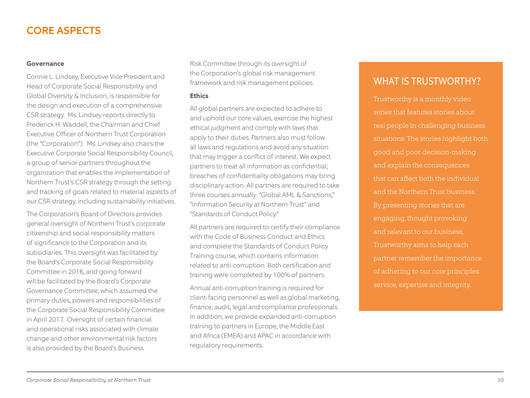# CORE ASPECTS

#### **Governance**

Connie L. Lindsey, Executive Vice President and Head of Corporate Social Responsibility and Global Diversity & Inclusion, is responsible for the design and execution of a comprehensive CSR strategy. Ms. Lindsey reports directly to Frederick H. Waddell, the Chairman and Chief Executive Officer of Northern Trust Corporation (the "Corporation"). Ms. Lindsey also chairs the Executive Corporate Social Responsibility Council, a group of senior partners throughout the organization that enables the implementation of Northern Trust's CSR strategy through the setting and tracking of goals related to material aspects of our CSR strategy, including sustainability initiatives.

The Corporation's Board of Directors provides general oversight of Northern Trust's corporate citizenship and social responsibility matters of significance to the Corporation and its subsidiaries. This oversight was facilitated by the Board's Corporate Social Responsibility Committee in 2016, and going forward will be facilitated by the Board's Corporate Governance Committee, which assumed the primary duties, powers and responsibilities of the Corporate Social Responsibility Committee in April 2017. Oversight of certain financial and operational risks associated with climate change and other environmental risk factors is also provided by the Board's Business

Risk Committee through its oversight of the Corporation's global risk management framework and risk management policies.

#### **Ethics**

All global partners are expected to adhere to and uphold our core values, exercise the highest ethical judgment and comply with laws that apply to their duties. Partners also must follow all laws and regulations and avoid any situation that may trigger a conflict of interest. We expect partners to treat all information as confidential; breaches of confidentiality obligations may bring disciplinary action. All partners are required to take three courses annually: "Global AML & Sanctions," "Information Security at Northern Trust" and "Standards of Conduct Policy."

All partners are required to certify their compliance with the Code of Business Conduct and Ethics and complete the Standards of Conduct Policy Training course, which contains information related to anti-corruption. Both certification and training were completed by 100% of partners.

Annual anti-corruption training is required for client-facing personnel as well as global marketing, finance, audit, legal and compliance professionals. In addition, we provide expanded anti-corruption training to partners in Europe, the Middle East and Africa (EMEA) and APAC in accordance with regulatory requirements.

# WHAT IS TRUSTWORTHY?

Trustworthy is a monthly video series that features stories about real people in challenging business situations. The stories highlight both good and poor decision-making and explain the consequences that can affect both the individual and the Northern Trust business. By presenting stories that are engaging, thought provoking and relevant to our business, Trustworthy aims to help each partner remember the importance of adhering to our core principles: service, expertise and integrity.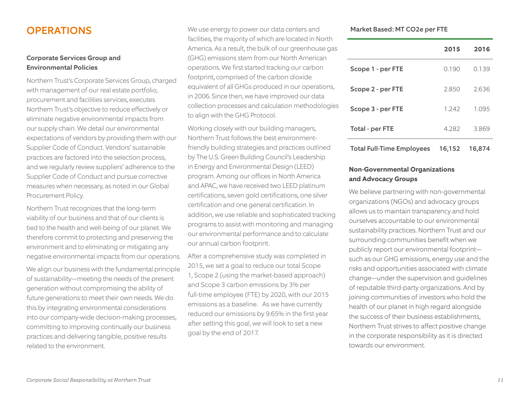# **OPERATIONS**

#### **Corporate Services Group and Environmental Policies**

Northern Trust's Corporate Services Group, charged with management of our real estate portfolio, procurement and facilities services, executes Northern Trust's objective to reduce effectively or eliminate negative environmental impacts from our supply chain. We detail our environmental expectations of vendors by providing them with our Supplier Code of Conduct. Vendors' sustainable practices are factored into the selection process, and we regularly review suppliers' adherence to the Supplier Code of Conduct and pursue corrective measures when necessary, as noted in our Global Procurement Policy.

Northern Trust recognizes that the long-term viability of our business and that of our clients is tied to the health and well-being of our planet. We therefore commit to protecting and preserving the environment and to eliminating or mitigating any negative environmental impacts from our operations.

We align our business with the fundamental principle of sustainability—meeting the needs of the present generation without compromising the ability of future generations to meet their own needs. We do this by integrating environmental considerations into our company-wide decision-making processes, committing to improving continually our business practices and delivering tangible, positive results related to the environment.

We use energy to power our data centers and facilities, the majority of which are located in North America. As a result, the bulk of our greenhouse gas (GHG) emissions stem from our North American operations. We first started tracking our carbon footprint, comprised of the carbon dioxide equivalent of all GHGs produced in our operations, in 2006. Since then, we have improved our data collection processes and calculation methodologies to align with the GHG Protocol.

Working closely with our building managers, Northern Trust follows the best environmentfriendly building strategies and practices outlined by The U.S. Green Building Council's Leadership in Energy and Environmental Design (LEED) program. Among our offices in North America and APAC, we have received two LEED platinum certifications, seven gold certifications, one silver certification and one general certification. In addition, we use reliable and sophisticated tracking programs to assist with monitoring and managing our environmental performance and to calculate our annual carbon footprint.

After a comprehensive study was completed in 2015, we set a goal to reduce our total Scope 1, Scope 2 (using the market-based approach) and Scope 3 carbon emissions by 3% per full-time employee (FTE) by 2020, with our 2015 emissions as a baseline. As we have currently reduced our emissions by 9.65% in the first year after setting this goal, we will look to set a new goal by the end of 2017.

Market Based: MT CO2e per FTE

|                   | 2015    | 2016  |
|-------------------|---------|-------|
| Scope 1 - per FTE | 0.190   | 0.139 |
| Scope 2 - per FTE | 2850    | 2.636 |
| Scope 3 - per FTE | 1 2 4 2 | 1095  |
| Total - per FTE   | 4282    | 3.869 |
|                   |         |       |

Total Full-Time Employees 16,152 16,874

#### **Non-Governmental Organizations and Advocacy Groups**

We believe partnering with non-governmental organizations (NGOs) and advocacy groups allows us to maintain transparency and hold ourselves accountable to our environmental sustainability practices. Northern Trust and our surrounding communities benefit when we publicly report our environmental footprint such as our GHG emissions, energy use and the risks and opportunities associated with climate change—under the supervision and guidelines of reputable third-party organizations. And by joining communities of investors who hold the health of our planet in high regard alongside the success of their business establishments, Northern Trust strives to affect positive change in the corporate responsibility as it is directed towards our environment.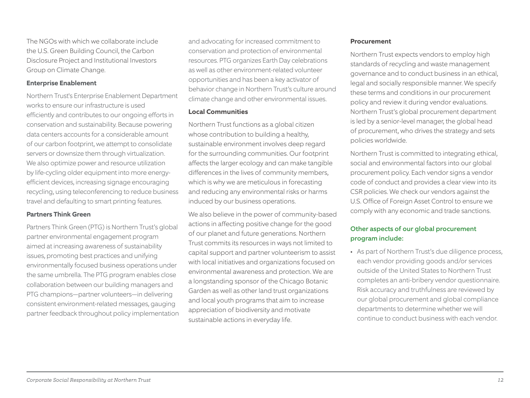The NGOs with which we collaborate include the U.S. Green Building Council, the Carbon Disclosure Project and Institutional Investors Group on Climate Change.

#### **Enterprise Enablement**

Northern Trust's Enterprise Enablement Department works to ensure our infrastructure is used efficiently and contributes to our ongoing efforts in conservation and sustainability. Because powering data centers accounts for a considerable amount of our carbon footprint, we attempt to consolidate servers or downsize them through virtualization. We also optimize power and resource utilization by life-cycling older equipment into more energyefficient devices, increasing signage encouraging recycling, using teleconferencing to reduce business travel and defaulting to smart printing features.

#### **Partners Think Green**

Partners Think Green (PTG) is Northern Trust's global partner environmental engagement program aimed at increasing awareness of sustainability issues, promoting best practices and unifying environmentally focused business operations under the same umbrella. The PTG program enables close collaboration between our building managers and PTG champions—partner volunteers—in delivering consistent environment-related messages, gauging partner feedback throughout policy implementation

and advocating for increased commitment to conservation and protection of environmental resources. PTG organizes Earth Day celebrations as well as other environment-related volunteer opportunities and has been a key activator of behavior change in Northern Trust's culture around climate change and other environmental issues.

#### **Local Communities**

Northern Trust functions as a global citizen whose contribution to building a healthy, sustainable environment involves deep regard for the surrounding communities. Our footprint affects the larger ecology and can make tangible differences in the lives of community members, which is why we are meticulous in forecasting and reducing any environmental risks or harms induced by our business operations.

We also believe in the power of community-based actions in affecting positive change for the good of our planet and future generations. Northern Trust commits its resources in ways not limited to capital support and partner volunteerism to assist with local initiatives and organizations focused on environmental awareness and protection. We are a longstanding sponsor of the Chicago Botanic Garden as well as other land trust organizations and local youth programs that aim to increase appreciation of biodiversity and motivate sustainable actions in everyday life.

#### **Procurement**

Northern Trust expects vendors to employ high standards of recycling and waste management governance and to conduct business in an ethical, legal and socially responsible manner. We specify these terms and conditions in our procurement policy and review it during vendor evaluations. Northern Trust's global procurement department is led by a senior-level manager, the global head of procurement, who drives the strategy and sets policies worldwide.

Northern Trust is committed to integrating ethical, social and environmental factors into our global procurement policy. Each vendor signs a vendor code of conduct and provides a clear view into its CSR policies. We check our vendors against the U.S. Office of Foreign Asset Control to ensure we comply with any economic and trade sanctions.

#### Other aspects of our global procurement program include:

• As part of Northern Trust's due diligence process, each vendor providing goods and/or services outside of the United States to Northern Trust completes an anti-bribery vendor questionnaire. Risk accuracy and truthfulness are reviewed by our global procurement and global compliance departments to determine whether we will continue to conduct business with each vendor.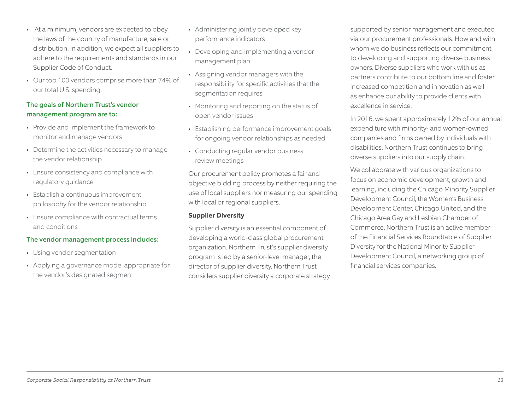*Corporate Social Responsibility at Northern Trust 13*

- At a minimum, vendors are expected to obey the laws of the country of manufacture, sale or distribution. In addition, we expect all suppliers to adhere to the requirements and standards in our Supplier Code of Conduct.
- Our top 100 vendors comprise more than 74% of our total U.S. spending.

#### The goals of Northern Trust's vendor management program are to:

- Provide and implement the framework to monitor and manage vendors
- Determine the activities necessary to manage the vendor relationship
- Ensure consistency and compliance with regulatory guidance
- Establish a continuous improvement philosophy for the vendor relationship
- Ensure compliance with contractual terms and conditions

#### The vendor management process includes:

- Using vendor segmentation
- Applying a governance model appropriate for the vendor's designated segment
- Administering jointly developed key performance indicators
- Developing and implementing a vendor management plan
- Assigning vendor managers with the responsibility for specific activities that the segmentation requires
- Monitoring and reporting on the status of open vendor issues
- Establishing performance improvement goals for ongoing vendor relationships as needed
- Conducting regular vendor business review meetings

Our procurement policy promotes a fair and objective bidding process by neither requiring the use of local suppliers nor measuring our spending with local or regional suppliers.

#### **Supplier Diversity**

Supplier diversity is an essential component of developing a world-class global procurement organization. Northern Trust's supplier diversity program is led by a senior-level manager, the director of supplier diversity. Northern Trust considers supplier diversity a corporate strategy supported by senior management and executed via our procurement professionals. How and with whom we do business reflects our commitment to developing and supporting diverse business owners. Diverse suppliers who work with us as partners contribute to our bottom line and foster increased competition and innovation as well as enhance our ability to provide clients with excellence in service.

In 2016, we spent approximately 12% of our annual expenditure with minority- and women-owned companies and firms owned by individuals with disabilities. Northern Trust continues to bring diverse suppliers into our supply chain.

We collaborate with various organizations to focus on economic development, growth and learning, including the Chicago Minority Supplier Development Council, the Women's Business Development Center, Chicago United, and the Chicago Area Gay and Lesbian Chamber of Commerce. Northern Trust is an active member of the Financial Services Roundtable of Supplier Diversity for the National Minority Supplier Development Council, a networking group of financial services companies.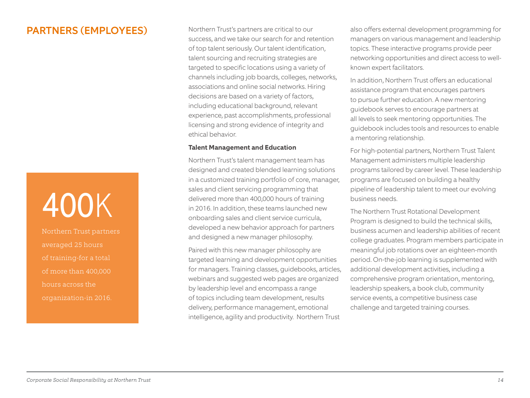# PARTNERS (EMPLOYEES)

# 400K

Northern Trust partners averaged 25 hours of training-for a total of more than 400,000 hours across the organization-in 2016.

Northern Trust's partners are critical to our success, and we take our search for and retention of top talent seriously. Our talent identification, talent sourcing and recruiting strategies are targeted to specific locations using a variety of channels including job boards, colleges, networks, associations and online social networks. Hiring decisions are based on a variety of factors, including educational background, relevant experience, past accomplishments, professional licensing and strong evidence of integrity and ethical behavior.

#### **Talent Management and Education**

Northern Trust's talent management team has designed and created blended learning solutions in a customized training portfolio of core, manager, sales and client servicing programming that delivered more than 400,000 hours of training in 2016. In addition, these teams launched new onboarding sales and client service curricula, developed a new behavior approach for partners and designed a new manager philosophy.

Paired with this new manager philosophy are targeted learning and development opportunities for managers. Training classes, guidebooks, articles, webinars and suggested web pages are organized by leadership level and encompass a range of topics including team development, results delivery, performance management, emotional intelligence, agility and productivity. Northern Trust

also offers external development programming for managers on various management and leadership topics. These interactive programs provide peer networking opportunities and direct access to wellknown expert facilitators.

In addition, Northern Trust offers an educational assistance program that encourages partners to pursue further education. A new mentoring guidebook serves to encourage partners at all levels to seek mentoring opportunities. The guidebook includes tools and resources to enable a mentoring relationship.

For high-potential partners, Northern Trust Talent Management administers multiple leadership programs tailored by career level. These leadership programs are focused on building a healthy pipeline of leadership talent to meet our evolving business needs.

The Northern Trust Rotational Development Program is designed to build the technical skills, business acumen and leadership abilities of recent college graduates. Program members participate in meaningful job rotations over an eighteen-month period. On-the-job learning is supplemented with additional development activities, including a comprehensive program orientation, mentoring, leadership speakers, a book club, community service events, a competitive business case challenge and targeted training courses.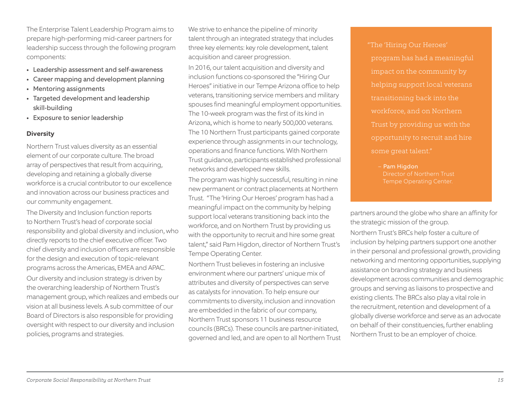The Enterprise Talent Leadership Program aims to prepare high-performing mid-career partners for leadership success through the following program components:

- Leadership assessment and self-awareness
- Career mapping and development planning
- Mentoring assignments
- Targeted development and leadership skill-building
- Exposure to senior leadership

#### **Diversity**

Northern Trust values diversity as an essential element of our corporate culture. The broad array of perspectives that result from acquiring, developing and retaining a globally diverse workforce is a crucial contributor to our excellence and innovation across our business practices and our community engagement.

The Diversity and Inclusion function reports to Northern Trust's head of corporate social responsibility and global diversity and inclusion, who directly reports to the chief executive officer. Two chief diversity and inclusion officers are responsible for the design and execution of topic-relevant programs across the Americas, EMEA and APAC.

Our diversity and inclusion strategy is driven by the overarching leadership of Northern Trust's management group, which realizes and embeds our vision at all business levels. A sub committee of our Board of Directors is also responsible for providing oversight with respect to our diversity and inclusion policies, programs and strategies.

We strive to enhance the pipeline of minority talent through an integrated strategy that includes three key elements: key role development, talent acquisition and career progression.

In 2016, our talent acquisition and diversity and inclusion functions co-sponsored the "Hiring Our Heroes" initiative in our Tempe Arizona office to help veterans, transitioning service members and military spouses find meaningful employment opportunities. The 10-week program was the first of its kind in Arizona, which is home to nearly 500,000 veterans. The 10 Northern Trust participants gained corporate experience through assignments in our technology, operations and finance functions. With Northern Trust guidance, participants established professional networks and developed new skills.

The program was highly successful, resulting in nine new permanent or contract placements at Northern Trust. "The 'Hiring Our Heroes' program has had a meaningful impact on the community by helping support local veterans transitioning back into the workforce, and on Northern Trust by providing us with the opportunity to recruit and hire some great talent," said Pam Higdon, director of Northern Trust's Tempe Operating Center.

Northern Trust believes in fostering an inclusive environment where our partners' unique mix of attributes and diversity of perspectives can serve as catalysts for innovation. To help ensure our commitments to diversity, inclusion and innovation are embedded in the fabric of our company, Northern Trust sponsors 11 business resource councils (BRCs). These councils are partner-initiated, governed and led, and are open to all Northern Trust  "The 'Hiring Our Heroes' program has had a meaningful impact on the community by transitioning back into the workforce, and on Northern Trust by providing us with the some great talent."

> - Pam Higdon Director of Northern Trust Tempe Operating Center.

partners around the globe who share an affinity for the strategic mission of the group.

Northern Trust's BRCs help foster a culture of inclusion by helping partners support one another in their personal and professional growth, providing networking and mentoring opportunities, supplying assistance on branding strategy and business development across communities and demographic groups and serving as liaisons to prospective and existing clients. The BRCs also play a vital role in the recruitment, retention and development of a globally diverse workforce and serve as an advocate on behalf of their constituencies, further enabling Northern Trust to be an employer of choice.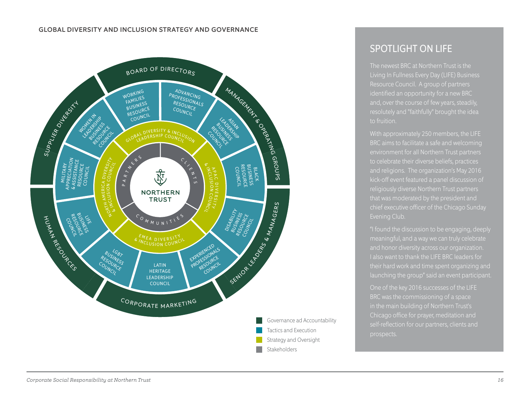#### GLOBAL DIVERSITY AND INCLUSION STRATEGY AND GOVERNANCE



# SPOTLIGHT ON LIFE

The newest BRC at Northern Trust is the Living In Fullness Every Day (LIFE) Business identified an opportunity for a new BRC resolutely and "faithfully" brought the idea to fruition.

With approximately 250 members, the LIFE BRC aims to facilitate a safe and welcoming environment for all Northern Trust partners to celebrate their diverse beliefs, practices and religions. The organization's May 2016 kick-off event featured a panel discussion of religiously diverse Northern Trust partners that was moderated by the president and chief executive officer of the Chicago Sunday Evening Club.

"I found the discussion to be engaging, deeply and honor diversity across our organization. I also want to thank the LIFE BRC leaders for their hard work and time spent organizing and

One of the key 2016 successes of the LIFE in the main building of Northern Trust's Chicago office for prayer, meditation and self-reflection for our partners, clients and prospects.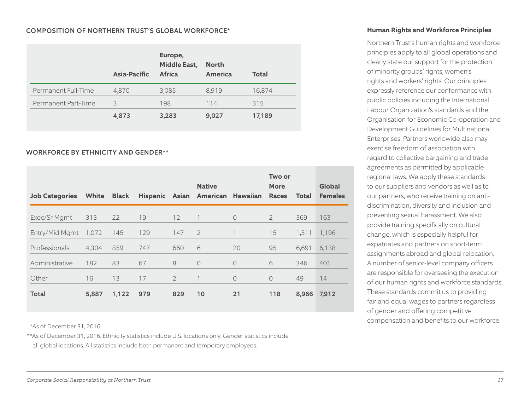#### COMPOSITION OF NORTHERN TRUST'S GLOBAL WORKFORCE\*

|                     | Asia-Pacific | Europe,<br><b>Middle East,</b><br><b>Africa</b> | <b>North</b><br>America | <b>Total</b> |
|---------------------|--------------|-------------------------------------------------|-------------------------|--------------|
| Permanent Full-Time | 4,870        | 3,085                                           | 8,919                   | 16,874       |
| Permanent Part-Time | 3            | 198                                             | 114                     | 315          |
|                     | 4,873        | 3,283                                           | 9,027                   | 17,189       |

#### WORKFORCE BY ETHNICITY AND GENDER\*\*

| <b>Job Categories</b> | White | <b>Black</b> |     |                | <b>Native</b><br>Hispanic Asian American Hawaiian |            | Two or<br><b>More</b><br><b>Races</b> | <b>Total</b> | Global<br><b>Females</b> |
|-----------------------|-------|--------------|-----|----------------|---------------------------------------------------|------------|---------------------------------------|--------------|--------------------------|
| Exec/Sr Mgmt          | 313   | 22           | 19  | 12             |                                                   | $\Omega$   | $\overline{2}$                        | 369          | 163                      |
| Entry/Mid Mgmt        | 1,072 | 145          | 129 | 147            | $\overline{2}$                                    |            | 15                                    | 1,511        | 1,196                    |
| Professionals         | 4,304 | 859          | 747 | 660            | 6                                                 | 20         | 95                                    | 6,691        | 6,138                    |
| Administrative        | 182   | 83           | 67  | 8              | $\circ$                                           | $\bigcirc$ | 6                                     | 346          | 401                      |
| Other                 | 16    | 13           | 17  | $\overline{2}$ |                                                   | $\circ$    | $\circ$                               | 49           | 14                       |
| Total                 | 5,887 | 1,122        | 979 | 829            | 10                                                | 21         | 118                                   | 8,966        | 7,912                    |

\*As of December 31, 2016

\*\*As of December 31, 2016. Ethnicity statistics include U.S. locations only. Gender statistics include

all global locations. All statistics include both permanent and temporary employees.

#### **Human Rights and Workforce Principles**

Northern Trust's human rights and workforce principles apply to all global operations and clearly state our support for the protection of minority groups' rights, women's rights and workers' rights. Our principles expressly reference our conformance with public policies including the International Labour Organization's standards and the Organisation for Economic Co-operation and Development Guidelines for Multinational Enterprises. Partners worldwide also may exercise freedom of association with regard to collective bargaining and trade agreements as permitted by applicable regional laws. We apply these standards to our suppliers and vendors as well as to our partners, who receive training on antidiscrimination, diversity and inclusion and preventing sexual harassment. We also provide training specifically on cultural change, which is especially helpful for expatriates and partners on short-term assignments abroad and global relocation. A number of senior-level company officers are responsible for overseeing the execution of our human rights and workforce standards. These standards commit us to providing fair and equal wages to partners regardless of gender and offering competitive compensation and benefits to our workforce.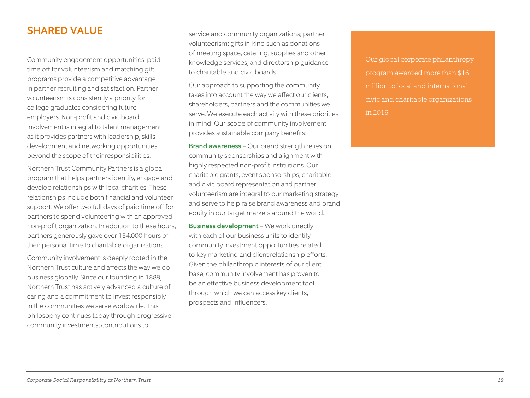# SHARED VALUE

Community engagement opportunities, paid time off for volunteerism and matching gift programs provide a competitive advantage in partner recruiting and satisfaction. Partner volunteerism is consistently a priority for college graduates considering future employers. Non-profit and civic board involvement is integral to talent management as it provides partners with leadership, skills development and networking opportunities beyond the scope of their responsibilities.

Northern Trust Community Partners is a global program that helps partners identify, engage and develop relationships with local charities. These relationships include both financial and volunteer support. We offer two full days of paid time off for partners to spend volunteering with an approved non-profit organization. In addition to these hours, partners generously gave over 154,000 hours of their personal time to charitable organizations.

Community involvement is deeply rooted in the Northern Trust culture and affects the way we do business globally. Since our founding in 1889, Northern Trust has actively advanced a culture of caring and a commitment to invest responsibly in the communities we serve worldwide. This philosophy continues today through progressive community investments; contributions to

service and community organizations; partner volunteerism; gifts in-kind such as donations of meeting space, catering, supplies and other knowledge services; and directorship guidance to charitable and civic boards.

Our approach to supporting the community takes into account the way we affect our clients, shareholders, partners and the communities we serve. We execute each activity with these priorities in mind. Our scope of community involvement provides sustainable company benefits:

Brand awareness – Our brand strength relies on community sponsorships and alignment with highly respected non-profit institutions. Our charitable grants, event sponsorships, charitable and civic board representation and partner volunteerism are integral to our marketing strategy and serve to help raise brand awareness and brand equity in our target markets around the world.

Business development - We work directly with each of our business units to identify community investment opportunities related to key marketing and client relationship efforts. Given the philanthropic interests of our client base, community involvement has proven to be an effective business development tool through which we can access key clients, prospects and influencers.

program awarded more than \$16 million to local and international civic and charitable organizations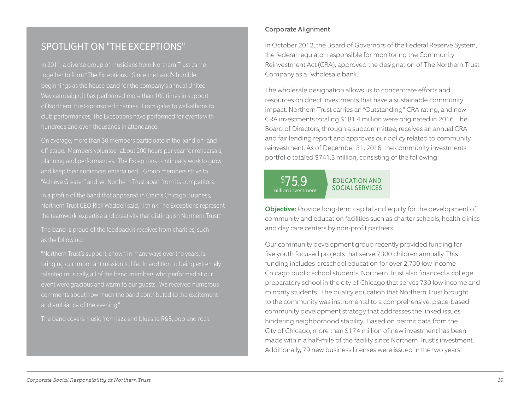# SPOTLIGHT ON "THE EXCEPTIONS"

In 2011, a diverse group of musicians from Northern Trust came together to form "The Exceptions." Since the band's humble beginnings as the house band for the company's annual United Way campaign, it has performed more than 100 times in support club performances, The Exceptions have performed for events with hundreds and even thousands in attendance.

On average, more than 30 members participate in the band on- and and keep their audiences entertained. Group members strive to "Achieve Greater" and set Northern Trust apart from its competitors. In a profile of the band that appeared in Crain's Chicago Business, the teamwork, expertise and creativity that distinguish Northern Trust." The band is proud of the feedback it receives from charities, such as the following:

"Northern Trust's support, shown in many ways over the years, is talented musically, all of the band members who performed at our event were gracious and warm to our guests. We received numerous comments about how much the band contributed to the excitement and ambiance of the evening."

The band covers music from jazz and blues to R&B, pop and rock.

#### Corporate Alignment

In October 2012, the Board of Governors of the Federal Reserve System, the federal regulator responsible for monitoring the Community Reinvestment Act (CRA), approved the designation of The Northern Trust Company as a "wholesale bank."

The wholesale designation allows us to concentrate efforts and resources on direct investments that have a sustainable community impact. Northern Trust carries an "Outstanding" CRA rating, and new CRA investments totaling \$181.4 million were originated in 2016. The Board of Directors, through a subcommittee, receives an annual CRA and fair lending report and approves our policy related to community reinvestment. As of December 31, 2016, the community investments portfolio totaled \$741.3 million, consisting of the following:

#### EDUCATION AND SOCIAL SERVICES \$75.9 million investment

Objective: Provide long-term capital and equity for the development of community and education facilities such as charter schools, health clinics and day care centers by non-profit partners.

Our community development group recently provided funding for five youth focused projects that serve 7,300 children annually. This funding includes preschool education for over 2,700 low income Chicago public school students. Northern Trust also financed a college preparatory school in the city of Chicago that serves 730 low income and minority students. The quality education that Northern Trust brought to the community was instrumental to a comprehensive, place-based community development strategy that addresses the linked issues hindering neighborhood stability. Based on permit data from the City of Chicago, more than \$17.4 million of new investment has been made within a half-mile of the facility since Northern Trust's investment. Additionally, 79 new business licenses were issued in the two years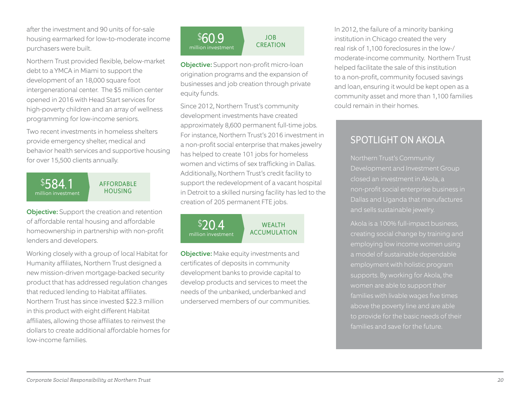after the investment and 90 units of for-sale housing earmarked for low-to-moderate income purchasers were built.

Northern Trust provided flexible, below-market debt to a YMCA in Miami to support the development of an 18,000 square foot intergenerational center. The \$5 million center opened in 2016 with Head Start services for high-poverty children and an array of wellness programming for low-income seniors.

Two recent investments in homeless shelters provide emergency shelter, medical and behavior health services and supportive housing for over 15,500 clients annually.

#### \$584.1 million investment

AFFORDABLE HOUSING

Objective: Support the creation and retention of affordable rental housing and affordable homeownership in partnership with non-profit lenders and developers.

Working closely with a group of local Habitat for Humanity affiliates, Northern Trust designed a new mission-driven mortgage-backed security product that has addressed regulation changes that reduced lending to Habitat affiliates. Northern Trust has since invested \$22.3 million in this product with eight different Habitat affiliates, allowing those affiliates to reinvest the dollars to create additional affordable homes for low-income families.

#### JOB **CREATION** \$60.9 million investment

Objective: Support non-profit micro-loan origination programs and the expansion of businesses and job creation through private equity funds.

Since 2012, Northern Trust's community development investments have created approximately 8,600 permanent full-time jobs. For instance, Northern Trust's 2016 investment in a non-profit social enterprise that makes jewelry has helped to create 101 jobs for homeless women and victims of sex trafficking in Dallas. Additionally, Northern Trust's credit facility to support the redevelopment of a vacant hospital in Detroit to a skilled nursing facility has led to the creation of 205 permanent FTE jobs.

 $$20.4$ million investment

#### **WFAITH** ACCUMULATION

**Objective:** Make equity investments and certificates of deposits in community development banks to provide capital to develop products and services to meet the needs of the unbanked, underbanked and underserved members of our communities. In 2012, the failure of a minority banking institution in Chicago created the very real risk of 1,100 foreclosures in the low-/ moderate-income community. Northern Trust helped facilitate the sale of this institution to a non-profit, community focused savings and loan, ensuring it would be kept open as a community asset and more than 1,100 families could remain in their homes.

# SPOTLIGHT ON AKOLA

closed an investment in Akola, a non-profit social enterprise business in Dallas and Uganda that manufactures and sells sustainable jewelry.

Akola is a 100% full-impact business, a model of sustainable dependable employment with holistic program above the poverty line and are able to provide for the basic needs of their families and save for the future.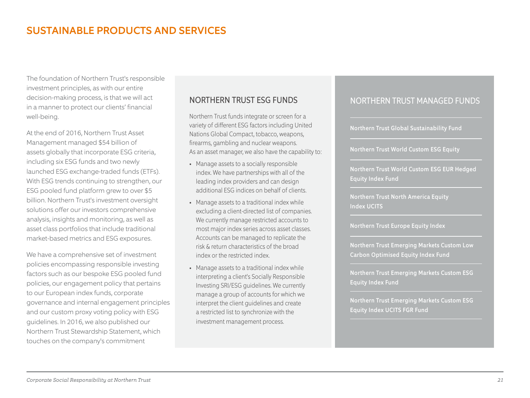# SUSTAINABLE PRODUCTS AND SERVICES

The foundation of Northern Trust's responsible investment principles, as with our entire decision-making process, is that we will act in a manner to protect our clients' financial well-being.

At the end of 2016, Northern Trust Asset Management managed \$54 billion of assets globally that incorporate ESG criteria, including six ESG funds and two newly launched ESG exchange-traded funds (ETFs). With ESG trends continuing to strengthen, our ESG pooled fund platform grew to over \$5 billion. Northern Trust's investment oversight solutions offer our investors comprehensive analysis, insights and monitoring, as well as asset class portfolios that include traditional market-based metrics and ESG exposures.

We have a comprehensive set of investment policies encompassing responsible investing factors such as our bespoke ESG pooled fund policies, our engagement policy that pertains to our European index funds, corporate governance and internal engagement principles and our custom proxy voting policy with ESG guidelines. In 2016, we also published our Northern Trust Stewardship Statement, which touches on the company's commitment

## NORTHERN TRUST ESG FUNDS

Northern Trust funds integrate or screen for a variety of different ESG factors including United Nations Global Compact, tobacco, weapons, firearms, gambling and nuclear weapons. As an asset manager, we also have the capability to:

- Manage assets to a socially responsible index. We have partnerships with all of the leading index providers and can design additional ESG indices on behalf of clients.
- Manage assets to a traditional index while excluding a client-directed list of companies. We currently manage restricted accounts to most major index series across asset classes. Accounts can be managed to replicate the risk & return characteristics of the broad index or the restricted index.
- Manage assets to a traditional index while interpreting a client's Socially Responsible Investing SRI/ESG guidelines. We currently manage a group of accounts for which we interpret the client guidelines and create a restricted list to synchronize with the investment management process.

#### NORTHERN TRUST MANAGED FUNDS

Northern Trust Global Sustainability Fund

Northern Trust World Custom ESG Equity

Northern Trust World Custom ESG EUR Hedged Equity Index Fund

Northern Trust North America Equity Index UCITS

Northern Trust Europe Equity Index

Northern Trust Emerging Markets Custom Low Carbon Optimised Equity Index Fund

Northern Trust Emerging Markets Custom ESG Equity Index Fund

Northern Trust Emerging Markets Custom ESG Equity Index UCITS FGR Fund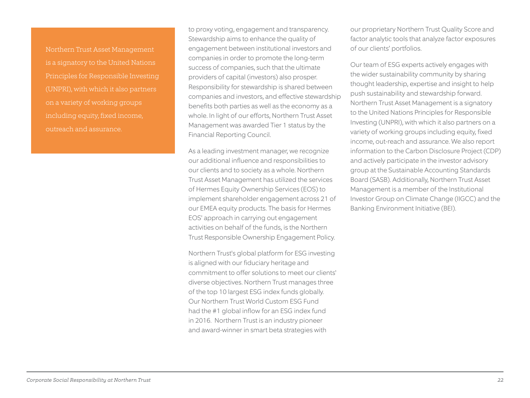Northern Trust Asset Management is a signatory to the United Nations Principles for Responsible Investing (UNPRI), with which it also partners on a variety of working groups including equity, fixed income, outreach and assurance.

to proxy voting, engagement and transparency. Stewardship aims to enhance the quality of engagement between institutional investors and companies in order to promote the long-term success of companies, such that the ultimate providers of capital (investors) also prosper. Responsibility for stewardship is shared between companies and investors, and effective stewardship benefits both parties as well as the economy as a whole. In light of our efforts, Northern Trust Asset Management was awarded Tier 1 status by the Financial Reporting Council.

As a leading investment manager, we recognize our additional influence and responsibilities to our clients and to society as a whole. Northern Trust Asset Management has utilized the services of Hermes Equity Ownership Services (EOS) to implement shareholder engagement across 21 of our EMEA equity products. The basis for Hermes EOS' approach in carrying out engagement activities on behalf of the funds, is the Northern Trust Responsible Ownership Engagement Policy.

Northern Trust's global platform for ESG investing is aligned with our fiduciary heritage and commitment to offer solutions to meet our clients' diverse objectives. Northern Trust manages three of the top 10 largest ESG index funds globally. Our Northern Trust World Custom ESG Fund had the #1 global inflow for an ESG index fund in 2016. Northern Trust is an industry pioneer and award-winner in smart beta strategies with

our proprietary Northern Trust Quality Score and factor analytic tools that analyze factor exposures of our clients' portfolios.

Our team of ESG experts actively engages with the wider sustainability community by sharing thought leadership, expertise and insight to help push sustainability and stewardship forward. Northern Trust Asset Management is a signatory to the United Nations Principles for Responsible Investing (UNPRI), with which it also partners on a variety of working groups including equity, fixed income, out-reach and assurance. We also report information to the Carbon Disclosure Project (CDP) and actively participate in the investor advisory group at the Sustainable Accounting Standards Board (SASB). Additionally, Northern Trust Asset Management is a member of the Institutional Investor Group on Climate Change (IIGCC) and the Banking Environment Initiative (BEI).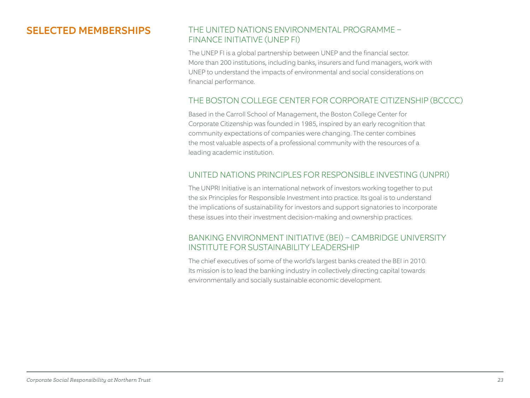# SELECTED MEMBERSHIPS

# THE UNITED NATIONS ENVIRONMENTAL PROGRAMME – FINANCE INITIATIVE (UNEP FI)

The UNEP FI is a global partnership between UNEP and the financial sector. More than 200 institutions, including banks, insurers and fund managers, work with UNEP to understand the impacts of environmental and social considerations on financial performance.

# THE BOSTON COLLEGE CENTER FOR CORPORATE CITIZENSHIP (BCCCC)

Based in the Carroll School of Management, the Boston College Center for Corporate Citizenship was founded in 1985, inspired by an early recognition that community expectations of companies were changing. The center combines the most valuable aspects of a professional community with the resources of a leading academic institution.

# UNITED NATIONS PRINCIPLES FOR RESPONSIBLE INVESTING (UNPRI)

The UNPRI Initiative is an international network of investors working together to put the six Principles for Responsible Investment into practice. Its goal is to understand the implications of sustainability for investors and support signatories to incorporate these issues into their investment decision-making and ownership practices.

## BANKING ENVIRONMENT INITIATIVE (BEI) – CAMBRIDGE UNIVERSITY INSTITUTE FOR SUSTAINABILITY LEADERSHIP

The chief executives of some of the world's largest banks created the BEI in 2010. Its mission is to lead the banking industry in collectively directing capital towards environmentally and socially sustainable economic development.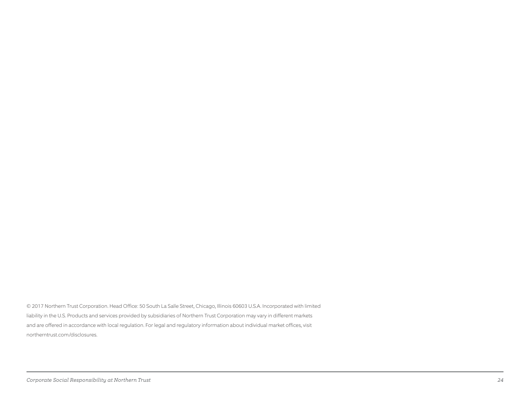© 2017 Northern Trust Corporation. Head Office: 50 South La Salle Street, Chicago, Illinois 60603 U.S.A. Incorporated with limited liability in the U.S. Products and services provided by subsidiaries of Northern Trust Corporation may vary in different markets and are offered in accordance with local regulation. For legal and regulatory information about individual market offices, visit northerntrust.com/disclosures.